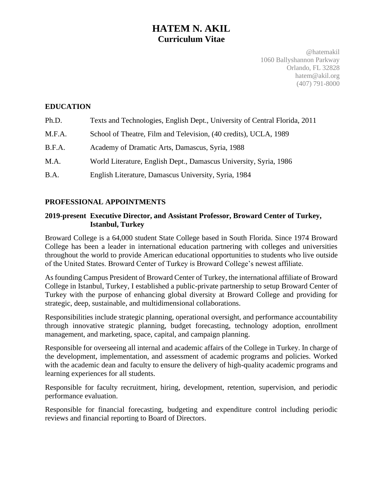# **HATEM N. AKIL Curriculum Vitae**

@hatemakil 1060 Ballyshannon Parkway Orlando, FL 32828 hatem@akil.org (407) 791-8000

### **EDUCATION**

| Ph.D.  | Texts and Technologies, English Dept., University of Central Florida, 2011 |
|--------|----------------------------------------------------------------------------|
| M.F.A. | School of Theatre, Film and Television, (40 credits), UCLA, 1989           |
| B.F.A. | Academy of Dramatic Arts, Damascus, Syria, 1988                            |
| M.A.   | World Literature, English Dept., Damascus University, Syria, 1986          |
| B.A.   | English Literature, Damascus University, Syria, 1984                       |

### **PROFESSIONAL APPOINTMENTS**

#### **2019-present Executive Director, and Assistant Professor, Broward Center of Turkey, Istanbul, Turkey**

Broward College is a 64,000 student State College based in South Florida. Since 1974 Broward College has been a leader in international education partnering with colleges and universities throughout the world to provide American educational opportunities to students who live outside of the United States. Broward Center of Turkey is Broward College's newest affiliate.

As founding Campus President of Broward Center of Turkey, the international affiliate of Broward College in Istanbul, Turkey, I established a public-private partnership to setup Broward Center of Turkey with the purpose of enhancing global diversity at Broward College and providing for strategic, deep, sustainable, and multidimensional collaborations.

Responsibilities include strategic planning, operational oversight, and performance accountability through innovative strategic planning, budget forecasting, technology adoption, enrollment management, and marketing, space, capital, and campaign planning.

Responsible for overseeing all internal and academic affairs of the College in Turkey. In charge of the development, implementation, and assessment of academic programs and policies. Worked with the academic dean and faculty to ensure the delivery of high-quality academic programs and learning experiences for all students.

Responsible for faculty recruitment, hiring, development, retention, supervision, and periodic performance evaluation.

Responsible for financial forecasting, budgeting and expenditure control including periodic reviews and financial reporting to Board of Directors.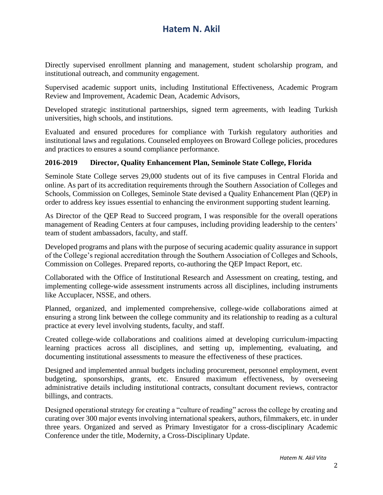Directly supervised enrollment planning and management, student scholarship program, and institutional outreach, and community engagement.

Supervised academic support units, including Institutional Effectiveness, Academic Program Review and Improvement, Academic Dean, Academic Advisors,

Developed strategic institutional partnerships, signed term agreements, with leading Turkish universities, high schools, and institutions.

Evaluated and ensured procedures for compliance with Turkish regulatory authorities and institutional laws and regulations. Counseled employees on Broward College policies, procedures and practices to ensures a sound compliance performance.

#### **2016-2019 Director, Quality Enhancement Plan, Seminole State College, Florida**

Seminole State College serves 29,000 students out of its five campuses in Central Florida and online. As part of its accreditation requirements through the Southern Association of Colleges and Schools, Commission on Colleges, Seminole State devised a Quality Enhancement Plan (QEP) in order to address key issues essential to enhancing the environment supporting student learning.

As Director of the QEP Read to Succeed program, I was responsible for the overall operations management of Reading Centers at four campuses, including providing leadership to the centers' team of student ambassadors, faculty, and staff.

Developed programs and plans with the purpose of securing academic quality assurance in support of the College's regional accreditation through the Southern Association of Colleges and Schools, Commission on Colleges. Prepared reports, co-authoring the QEP Impact Report, etc.

Collaborated with the Office of Institutional Research and Assessment on creating, testing, and implementing college-wide assessment instruments across all disciplines, including instruments like Accuplacer, NSSE, and others.

Planned, organized, and implemented comprehensive, college-wide collaborations aimed at ensuring a strong link between the college community and its relationship to reading as a cultural practice at every level involving students, faculty, and staff.

Created college-wide collaborations and coalitions aimed at developing curriculum-impacting learning practices across all disciplines, and setting up, implementing, evaluating, and documenting institutional assessments to measure the effectiveness of these practices.

Designed and implemented annual budgets including procurement, personnel employment, event budgeting, sponsorships, grants, etc. Ensured maximum effectiveness, by overseeing administrative details including institutional contracts, consultant document reviews, contractor billings, and contracts.

Designed operational strategy for creating a "culture of reading" across the college by creating and curating over 300 major events involving international speakers, authors, filmmakers, etc. in under three years. Organized and served as Primary Investigator for a cross-disciplinary Academic Conference under the title, Modernity, a Cross-Disciplinary Update.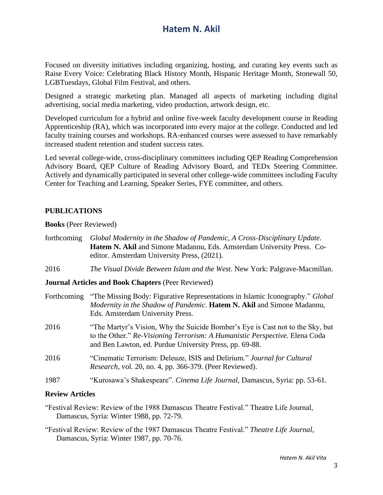Focused on diversity initiatives including organizing, hosting, and curating key events such as Raise Every Voice: Celebrating Black History Month, Hispanic Heritage Month, Stonewall 50, LGBTuesdays, Global Film Festival, and others.

Designed a strategic marketing plan. Managed all aspects of marketing including digital advertising, social media marketing, video production, artwork design, etc.

Developed curriculum for a hybrid and online five-week faculty development course in Reading Apprenticeship (RA), which was incorporated into every major at the college. Conducted and led faculty training courses and workshops. RA-enhanced courses were assessed to have remarkably increased student retention and student success rates.

Led several college-wide, cross-disciplinary committees including QEP Reading Comprehension Advisory Board, QEP Culture of Reading Advisory Board, and TEDx Steering Committee. Actively and dynamically participated in several other college-wide committees including Faculty Center for Teaching and Learning, Speaker Series, FYE committee, and others.

#### **PUBLICATIONS**

**Books** (Peer Reviewed)

| forthcoming | Global Modernity in the Shadow of Pandemic, A Cross-Disciplinary Update.<br>Hatem N. Akil and Simone Madannu, Eds. Amsterdam University Press. Co-<br>editor. Amsterdam University Press, (2021).                        |
|-------------|--------------------------------------------------------------------------------------------------------------------------------------------------------------------------------------------------------------------------|
| 2016        | The Visual Divide Between Islam and the West. New York: Palgrave-Macmillan.                                                                                                                                              |
|             | <b>Journal Articles and Book Chapters (Peer Reviewed)</b>                                                                                                                                                                |
| Forthcoming | "The Missing Body: Figurative Representations in Islamic Iconography." Global<br>Modernity in the Shadow of Pandemic. Hatem N. Akil and Simone Madannu,<br>Eds. Amsterdam University Press.                              |
| 2016        | "The Martyr's Vision, Why the Suicide Bomber's Eye is Cast not to the Sky, but<br>to the Other." Re-Visioning Terrorism: A Humanistic Perspective. Elena Coda<br>and Ben Lawton, ed. Purdue University Press, pp. 69-88. |
| 2016        | "Cinematic Terrorism: Deleuze, ISIS and Delirium." Journal for Cultural<br><i>Research</i> , vol. 20, no. 4, pp. 366-379. (Peer Reviewed).                                                                               |
| 1987        | "Kurosawa's Shakespeare". Cinema Life Journal, Damascus, Syria: pp. 53-61.                                                                                                                                               |
|             |                                                                                                                                                                                                                          |

#### **Review Articles**

"Festival Review: Review of the 1988 Damascus Theatre Festival." Theatre Life Journal, Damascus, Syria: Winter 1988, pp. 72-79.

"Festival Review: Review of the 1987 Damascus Theatre Festival." *Theatre Life Journal*, Damascus, Syria: Winter 1987, pp. 70-76.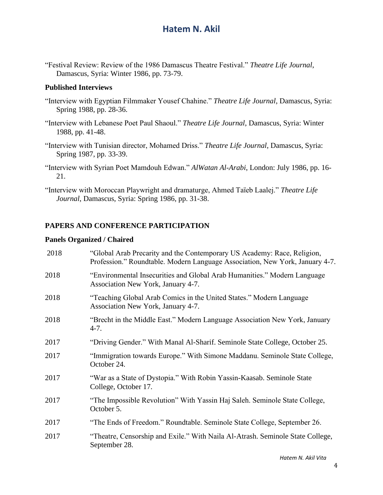"Festival Review: Review of the 1986 Damascus Theatre Festival." *Theatre Life Journal*, Damascus, Syria: Winter 1986, pp. 73-79.

### **Published Interviews**

- "Interview with Egyptian Filmmaker Yousef Chahine." *Theatre Life Journal*, Damascus, Syria: Spring 1988, pp. 28-36.
- "Interview with Lebanese Poet Paul Shaoul." *Theatre Life Journal*, Damascus, Syria: Winter 1988, pp. 41-48.
- "Interview with Tunisian director, Mohamed Driss." *Theatre Life Journal*, Damascus, Syria: Spring 1987, pp. 33-39.
- "Interview with Syrian Poet Mamdouh Edwan." *AlWatan Al-Arabi*, London: July 1986, pp. 16- 21.
- "Interview with Moroccan Playwright and dramaturge, Ahmed Taïeb Laalej." *Theatre Life Journal*, Damascus, Syria: Spring 1986, pp. 31-38.

### **PAPERS AND CONFERENCE PARTICIPATION**

#### **Panels Organized / Chaired**

| 2018 | "Global Arab Precarity and the Contemporary US Academy: Race, Religion,<br>Profession." Roundtable. Modern Language Association, New York, January 4-7. |
|------|---------------------------------------------------------------------------------------------------------------------------------------------------------|
| 2018 | "Environmental Insecurities and Global Arab Humanities." Modern Language<br>Association New York, January 4-7.                                          |
| 2018 | "Teaching Global Arab Comics in the United States." Modern Language<br>Association New York, January 4-7.                                               |
| 2018 | "Brecht in the Middle East." Modern Language Association New York, January<br>$4-7.$                                                                    |
| 2017 | "Driving Gender." With Manal Al-Sharif. Seminole State College, October 25.                                                                             |
| 2017 | "Immigration towards Europe." With Simone Maddanu. Seminole State College,<br>October 24.                                                               |
| 2017 | "War as a State of Dystopia." With Robin Yassin-Kaasab. Seminole State<br>College, October 17.                                                          |
| 2017 | "The Impossible Revolution" With Yassin Haj Saleh. Seminole State College,<br>October 5.                                                                |
| 2017 | "The Ends of Freedom." Roundtable. Seminole State College, September 26.                                                                                |
| 2017 | "Theatre, Censorship and Exile." With Naila Al-Atrash. Seminole State College,<br>September 28.                                                         |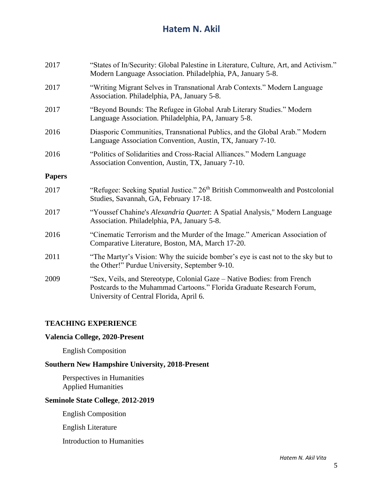| 2017          | "States of In/Security: Global Palestine in Literature, Culture, Art, and Activism."<br>Modern Language Association. Philadelphia, PA, January 5-8.                                         |
|---------------|---------------------------------------------------------------------------------------------------------------------------------------------------------------------------------------------|
| 2017          | "Writing Migrant Selves in Transnational Arab Contexts." Modern Language<br>Association. Philadelphia, PA, January 5-8.                                                                     |
| 2017          | "Beyond Bounds: The Refugee in Global Arab Literary Studies." Modern<br>Language Association. Philadelphia, PA, January 5-8.                                                                |
| 2016          | Diasporic Communities, Transnational Publics, and the Global Arab." Modern<br>Language Association Convention, Austin, TX, January 7-10.                                                    |
| 2016          | "Politics of Solidarities and Cross-Racial Alliances." Modern Language<br>Association Convention, Austin, TX, January 7-10.                                                                 |
| <b>Papers</b> |                                                                                                                                                                                             |
| 2017          | "Refugee: Seeking Spatial Justice." 26 <sup>th</sup> British Commonwealth and Postcolonial<br>Studies, Savannah, GA, February 17-18.                                                        |
| 2017          | "Youssef Chahine's Alexandria Quartet: A Spatial Analysis," Modern Language<br>Association. Philadelphia, PA, January 5-8.                                                                  |
| 2016          | "Cinematic Terrorism and the Murder of the Image." American Association of<br>Comparative Literature, Boston, MA, March 17-20.                                                              |
| 2011          | "The Martyr's Vision: Why the suicide bomber's eye is cast not to the sky but to<br>the Other!" Purdue University, September 9-10.                                                          |
| 2009          | "Sex, Veils, and Stereotype, Colonial Gaze – Native Bodies: from French<br>Postcards to the Muhammad Cartoons." Florida Graduate Research Forum,<br>University of Central Florida, April 6. |

### **TEACHING EXPERIENCE**

## **Valencia College, 2020-Present**

English Composition

## **Southern New Hampshire University, 2018-Present**

Perspectives in Humanities Applied Humanities

### **Seminole State College**, **2012-2019**

English Composition

English Literature

Introduction to Humanities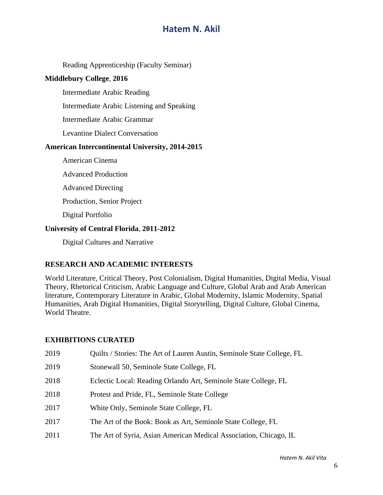Reading Apprenticeship (Faculty Seminar)

#### **Middlebury College**, **2016**

Intermediate Arabic Reading

Intermediate Arabic Listening and Speaking

Intermediate Arabic Grammar

Levantine Dialect Conversation

#### **American Intercontinental University, 2014-2015**

American Cinema

Advanced Production

Advanced Directing

Production, Senior Project

Digital Portfolio

#### **University of Central Florida**, **2011-2012**

Digital Cultures and Narrative

### **RESEARCH AND ACADEMIC INTERESTS**

World Literature, Critical Theory, Post Colonialism, Digital Humanities, Digital Media, Visual Theory, Rhetorical Criticism, Arabic Language and Culture, Global Arab and Arab American literature, Contemporary Literature in Arabic, Global Modernity, Islamic Modernity, Spatial Humanities, Arab Digital Humanities, Digital Storytelling, Digital Culture, Global Cinema, World Theatre.

#### **EXHIBITIONS CURATED**

| 2019 | Quilts / Stories: The Art of Lauren Austin, Seminole State College, FL |
|------|------------------------------------------------------------------------|
| 2019 | Stonewall 50, Seminole State College, FL                               |
| 2018 | Eclectic Local: Reading Orlando Art, Seminole State College, FL        |
| 2018 | Protest and Pride, FL, Seminole State College                          |
| 2017 | White Only, Seminole State College, FL                                 |
| 2017 | The Art of the Book: Book as Art, Seminole State College, FL           |
| 2011 | The Art of Syria, Asian American Medical Association, Chicago, IL      |
|      |                                                                        |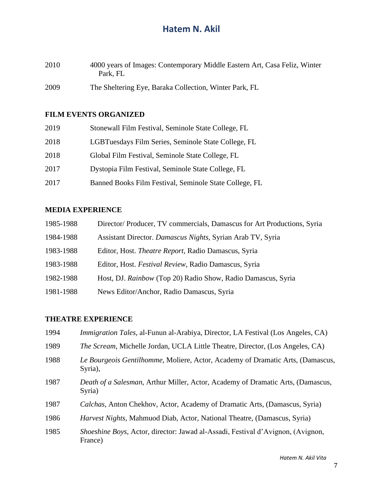| 2010 | 4000 years of Images: Contemporary Middle Eastern Art, Casa Feliz, Winter |  |
|------|---------------------------------------------------------------------------|--|
|      | Park, FL                                                                  |  |
|      |                                                                           |  |

2009 The Sheltering Eye, Baraka Collection, Winter Park, FL

## **FILM EVENTS ORGANIZED**

| 2019 | Stonewall Film Festival, Seminole State College, FL    |
|------|--------------------------------------------------------|
| 2018 | LGBTuesdays Film Series, Seminole State College, FL    |
| 2018 | Global Film Festival, Seminole State College, FL       |
| 2017 | Dystopia Film Festival, Seminole State College, FL     |
| 2017 | Banned Books Film Festival, Seminole State College, FL |

### **MEDIA EXPERIENCE**

| 1985-1988 | Director/Producer, TV commercials, Damascus for Art Productions, Syria |
|-----------|------------------------------------------------------------------------|
| 1984-1988 | Assistant Director. Damascus Nights, Syrian Arab TV, Syria             |
| 1983-1988 | Editor, Host. <i>Theatre Report</i> , Radio Damascus, Syria            |
| 1983-1988 | Editor, Host. Festival Review, Radio Damascus, Syria                   |
| 1982-1988 | Host, DJ. Rainbow (Top 20) Radio Show, Radio Damascus, Syria           |
| 1981-1988 | News Editor/Anchor, Radio Damascus, Syria                              |

## **THEATRE EXPERIENCE**

| 1994 | <i>Immigration Tales</i> , al-Funun al-Arabiya, Director, LA Festival (Los Angeles, CA)                 |
|------|---------------------------------------------------------------------------------------------------------|
| 1989 | <i>The Scream</i> , Michelle Jordan, UCLA Little Theatre, Director, (Los Angeles, CA)                   |
| 1988 | Le Bourgeois Gentilhomme, Moliere, Actor, Academy of Dramatic Arts, (Damascus,<br>Syria),               |
| 1987 | Death of a Salesman, Arthur Miller, Actor, Academy of Dramatic Arts, (Damascus,<br>Syria)               |
| 1987 | Calchas, Anton Chekhov, Actor, Academy of Dramatic Arts, (Damascus, Syria)                              |
| 1986 | <i>Harvest Nights</i> , Mahmuod Diab, Actor, National Theatre, (Damascus, Syria)                        |
| 1985 | <i>Shoeshine Boys, Actor, director: Jawad al-Assadi, Festival d'Avignon, (Avignon, 1910)</i><br>France) |

*Hatem N. Akil Vita*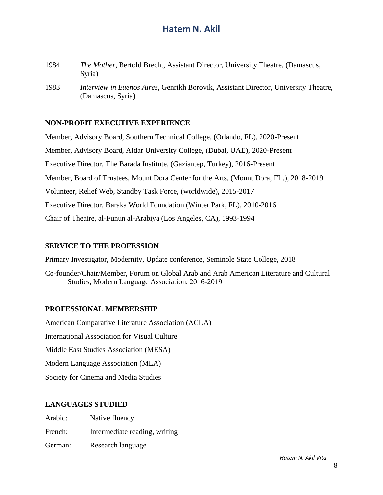- 1984 *The Mother*, Bertold Brecht, Assistant Director, University Theatre, (Damascus, Syria)
- 1983 *Interview in Buenos Aires*, Genrikh Borovik, Assistant Director, University Theatre, (Damascus, Syria)

#### **NON-PROFIT EXECUTIVE EXPERIENCE**

Member, Advisory Board, Southern Technical College, (Orlando, FL), 2020-Present Member, Advisory Board, Aldar University College, (Dubai, UAE), 2020-Present Executive Director, The Barada Institute, (Gaziantep, Turkey), 2016-Present Member, Board of Trustees, Mount Dora Center for the Arts, (Mount Dora, FL.), 2018-2019 Volunteer, Relief Web, Standby Task Force, (worldwide), 2015-2017 Executive Director, Baraka World Foundation (Winter Park, FL), 2010-2016 Chair of Theatre, al-Funun al-Arabiya (Los Angeles, CA), 1993-1994

#### **SERVICE TO THE PROFESSION**

Primary Investigator, Modernity, Update conference, Seminole State College, 2018

Co-founder/Chair/Member, Forum on Global Arab and Arab American Literature and Cultural Studies, Modern Language Association, 2016-2019

#### **PROFESSIONAL MEMBERSHIP**

American Comparative Literature Association (ACLA) International Association for Visual Culture Middle East Studies Association (MESA) Modern Language Association (MLA) Society for Cinema and Media Studies

#### **LANGUAGES STUDIED**

| Arabic: | Native fluency                |
|---------|-------------------------------|
| French: | Intermediate reading, writing |
| German: | Research language             |